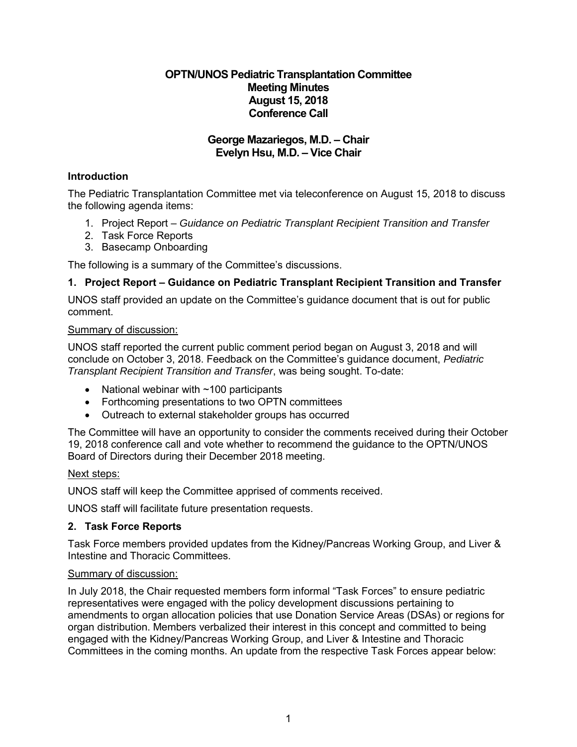# **OPTN/UNOS Pediatric Transplantation Committee Meeting Minutes August 15, 2018 Conference Call**

# **George Mazariegos, M.D. – Chair Evelyn Hsu, M.D. – Vice Chair**

# **Introduction**

The Pediatric Transplantation Committee met via teleconference on August 15, 2018 to discuss the following agenda items:

- 1. Project Report *Guidance on Pediatric Transplant Recipient Transition and Transfer*
- 2. Task Force Reports
- 3. Basecamp Onboarding

The following is a summary of the Committee's discussions.

# **1. Project Report – Guidance on Pediatric Transplant Recipient Transition and Transfer**

UNOS staff provided an update on the Committee's guidance document that is out for public comment.

#### Summary of discussion:

UNOS staff reported the current public comment period began on August 3, 2018 and will conclude on October 3, 2018. Feedback on the Committee's guidance document, *Pediatric Transplant Recipient Transition and Transfer*, was being sought. To-date:

- National webinar with  $\sim$ 100 participants
- Forthcoming presentations to two OPTN committees
- Outreach to external stakeholder groups has occurred

The Committee will have an opportunity to consider the comments received during their October 19, 2018 conference call and vote whether to recommend the guidance to the OPTN/UNOS Board of Directors during their December 2018 meeting.

#### Next steps:

UNOS staff will keep the Committee apprised of comments received.

UNOS staff will facilitate future presentation requests.

#### **2. Task Force Reports**

Task Force members provided updates from the Kidney/Pancreas Working Group, and Liver & Intestine and Thoracic Committees.

#### Summary of discussion:

In July 2018, the Chair requested members form informal "Task Forces" to ensure pediatric representatives were engaged with the policy development discussions pertaining to amendments to organ allocation policies that use Donation Service Areas (DSAs) or regions for organ distribution. Members verbalized their interest in this concept and committed to being engaged with the Kidney/Pancreas Working Group, and Liver & Intestine and Thoracic Committees in the coming months. An update from the respective Task Forces appear below: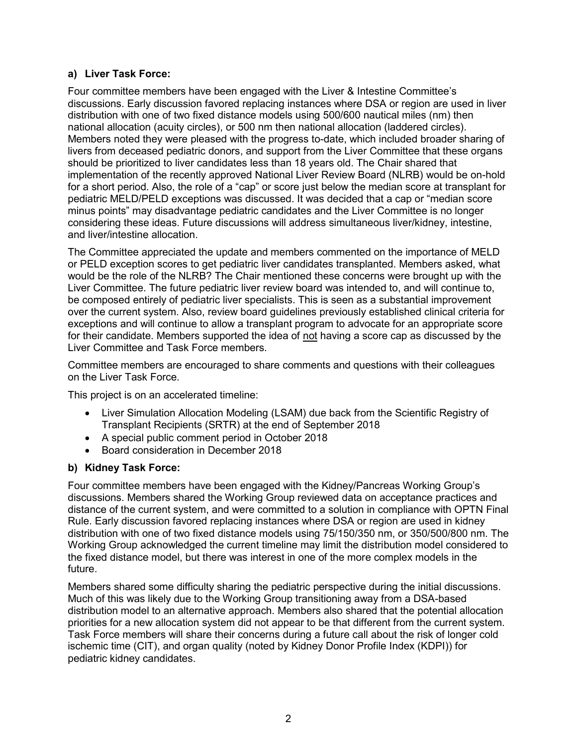# **a) Liver Task Force:**

Four committee members have been engaged with the Liver & Intestine Committee's discussions. Early discussion favored replacing instances where DSA or region are used in liver distribution with one of two fixed distance models using 500/600 nautical miles (nm) then national allocation (acuity circles), or 500 nm then national allocation (laddered circles). Members noted they were pleased with the progress to-date, which included broader sharing of livers from deceased pediatric donors, and support from the Liver Committee that these organs should be prioritized to liver candidates less than 18 years old. The Chair shared that implementation of the recently approved National Liver Review Board (NLRB) would be on-hold for a short period. Also, the role of a "cap" or score just below the median score at transplant for pediatric MELD/PELD exceptions was discussed. It was decided that a cap or "median score minus points" may disadvantage pediatric candidates and the Liver Committee is no longer considering these ideas. Future discussions will address simultaneous liver/kidney, intestine, and liver/intestine allocation.

The Committee appreciated the update and members commented on the importance of MELD or PELD exception scores to get pediatric liver candidates transplanted. Members asked, what would be the role of the NLRB? The Chair mentioned these concerns were brought up with the Liver Committee. The future pediatric liver review board was intended to, and will continue to, be composed entirely of pediatric liver specialists. This is seen as a substantial improvement over the current system. Also, review board guidelines previously established clinical criteria for exceptions and will continue to allow a transplant program to advocate for an appropriate score for their candidate. Members supported the idea of not having a score cap as discussed by the Liver Committee and Task Force members.

Committee members are encouraged to share comments and questions with their colleagues on the Liver Task Force.

This project is on an accelerated timeline:

- Liver Simulation Allocation Modeling (LSAM) due back from the Scientific Registry of Transplant Recipients (SRTR) at the end of September 2018
- A special public comment period in October 2018
- Board consideration in December 2018

#### **b) Kidney Task Force:**

Four committee members have been engaged with the Kidney/Pancreas Working Group's discussions. Members shared the Working Group reviewed data on acceptance practices and distance of the current system, and were committed to a solution in compliance with OPTN Final Rule. Early discussion favored replacing instances where DSA or region are used in kidney distribution with one of two fixed distance models using 75/150/350 nm, or 350/500/800 nm. The Working Group acknowledged the current timeline may limit the distribution model considered to the fixed distance model, but there was interest in one of the more complex models in the future.

Members shared some difficulty sharing the pediatric perspective during the initial discussions. Much of this was likely due to the Working Group transitioning away from a DSA-based distribution model to an alternative approach. Members also shared that the potential allocation priorities for a new allocation system did not appear to be that different from the current system. Task Force members will share their concerns during a future call about the risk of longer cold ischemic time (CIT), and organ quality (noted by Kidney Donor Profile Index (KDPI)) for pediatric kidney candidates.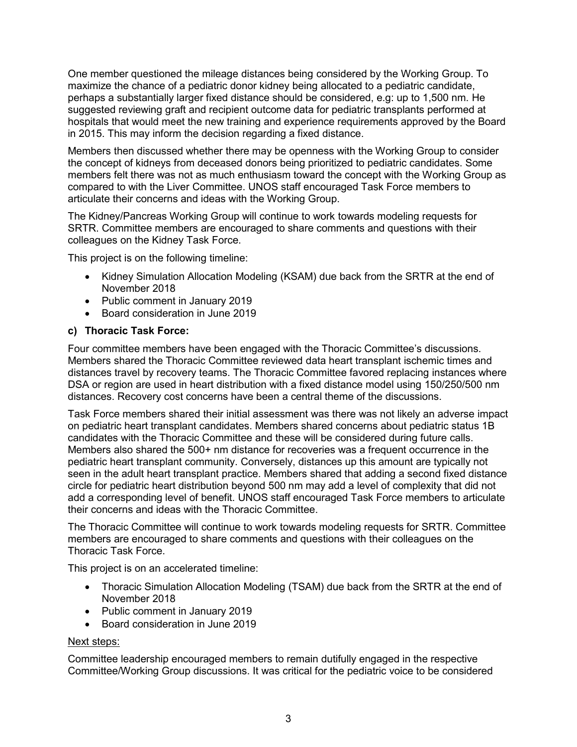One member questioned the mileage distances being considered by the Working Group. To maximize the chance of a pediatric donor kidney being allocated to a pediatric candidate, perhaps a substantially larger fixed distance should be considered, e.g: up to 1,500 nm. He suggested reviewing graft and recipient outcome data for pediatric transplants performed at hospitals that would meet the new training and experience requirements approved by the Board in 2015. This may inform the decision regarding a fixed distance.

Members then discussed whether there may be openness with the Working Group to consider the concept of kidneys from deceased donors being prioritized to pediatric candidates. Some members felt there was not as much enthusiasm toward the concept with the Working Group as compared to with the Liver Committee. UNOS staff encouraged Task Force members to articulate their concerns and ideas with the Working Group.

The Kidney/Pancreas Working Group will continue to work towards modeling requests for SRTR. Committee members are encouraged to share comments and questions with their colleagues on the Kidney Task Force.

This project is on the following timeline:

- Kidney Simulation Allocation Modeling (KSAM) due back from the SRTR at the end of November 2018
- Public comment in January 2019
- Board consideration in June 2019

# **c) Thoracic Task Force:**

Four committee members have been engaged with the Thoracic Committee's discussions. Members shared the Thoracic Committee reviewed data heart transplant ischemic times and distances travel by recovery teams. The Thoracic Committee favored replacing instances where DSA or region are used in heart distribution with a fixed distance model using 150/250/500 nm distances. Recovery cost concerns have been a central theme of the discussions.

Task Force members shared their initial assessment was there was not likely an adverse impact on pediatric heart transplant candidates. Members shared concerns about pediatric status 1B candidates with the Thoracic Committee and these will be considered during future calls. Members also shared the 500+ nm distance for recoveries was a frequent occurrence in the pediatric heart transplant community. Conversely, distances up this amount are typically not seen in the adult heart transplant practice. Members shared that adding a second fixed distance circle for pediatric heart distribution beyond 500 nm may add a level of complexity that did not add a corresponding level of benefit. UNOS staff encouraged Task Force members to articulate their concerns and ideas with the Thoracic Committee.

The Thoracic Committee will continue to work towards modeling requests for SRTR. Committee members are encouraged to share comments and questions with their colleagues on the Thoracic Task Force.

This project is on an accelerated timeline:

- Thoracic Simulation Allocation Modeling (TSAM) due back from the SRTR at the end of November 2018
- Public comment in January 2019
- Board consideration in June 2019

#### Next steps:

Committee leadership encouraged members to remain dutifully engaged in the respective Committee/Working Group discussions. It was critical for the pediatric voice to be considered